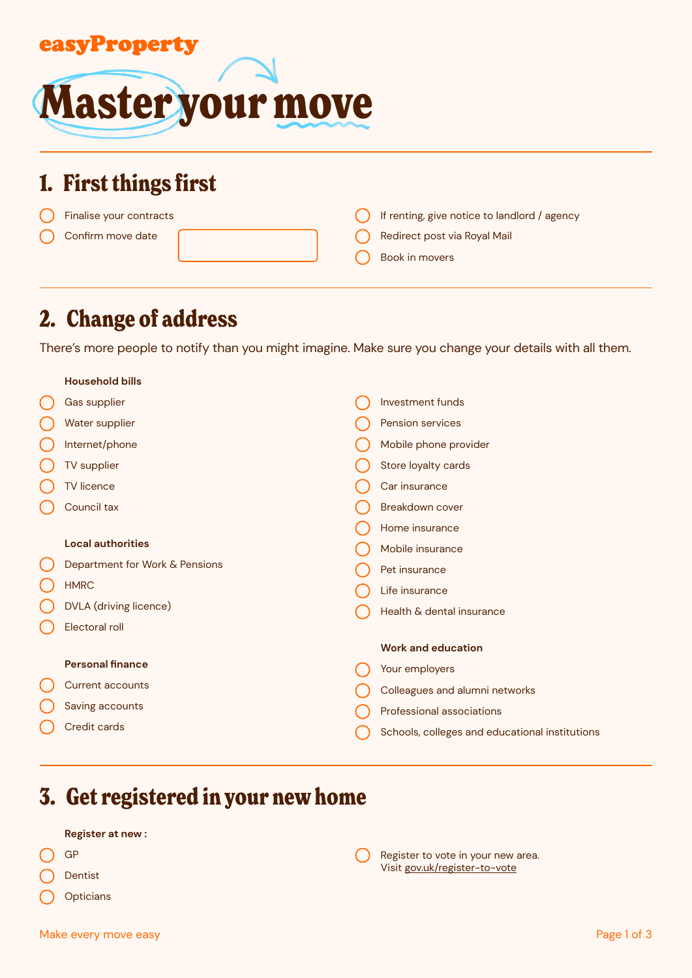

# **1. First things first**

| Finalise your contracts |  | If renting, give notice to landlord / agency |
|-------------------------|--|----------------------------------------------|
| Confirm move date       |  | Redirect post via Royal Mail                 |
|                         |  | Book in movers                               |

# **2. Change of address**

There's more people to notify than you might imagine. Make sure you change your details with all them.

| <b>Household bills</b>         |                                                |
|--------------------------------|------------------------------------------------|
| Gas supplier                   | Investment funds                               |
| Water supplier                 | Pension services                               |
| Internet/phone                 | Mobile phone provider                          |
| TV supplier                    | Store loyalty cards                            |
| <b>TV</b> licence              | Car insurance                                  |
| Council tax                    | Breakdown cover                                |
|                                | Home insurance                                 |
| <b>Local authorities</b>       | Mobile insurance                               |
| Department for Work & Pensions | Pet insurance                                  |
| <b>HMRC</b>                    | Life insurance                                 |
| DVLA (driving licence)         | Health & dental insurance                      |
| Electoral roll                 |                                                |
|                                | <b>Work and education</b>                      |
| <b>Personal finance</b>        | Your employers                                 |
| <b>Current accounts</b>        | Colleagues and alumni networks                 |
| Saving accounts                | Professional associations                      |
| Credit cards                   | Schools, colleges and educational institutions |
|                                |                                                |

# **3. Get registered in your new home**

#### **Register at new :**

- GP
- Dentist
- **Opticians**

 $\left(\begin{array}{c} \end{array}\right)$ Register to vote in your new area. Visit [gov.uk/register-to-vote](https://www.gov.uk/register-to-vote)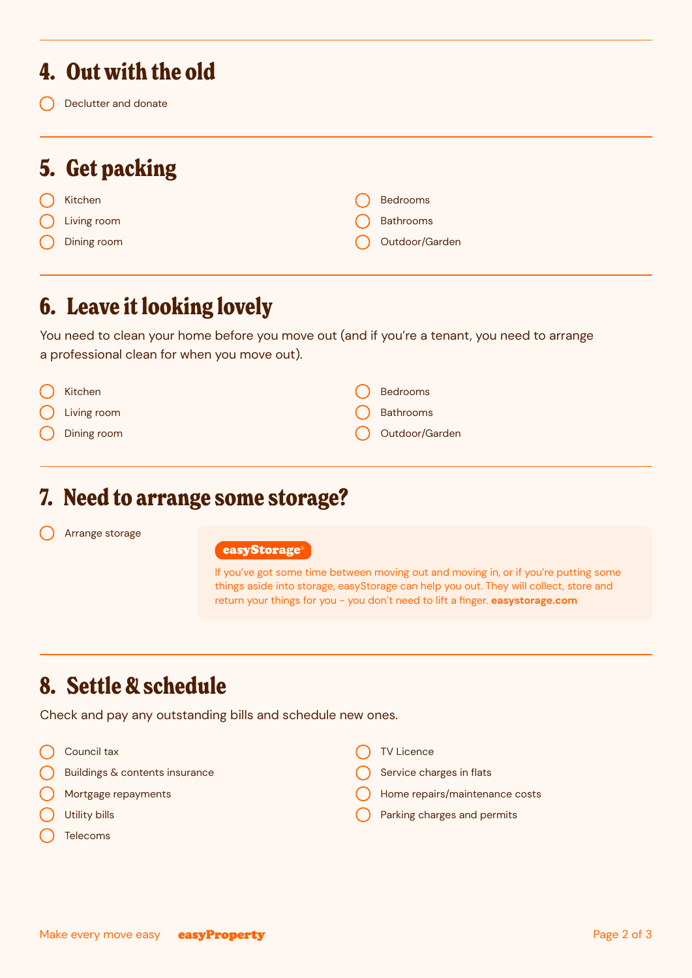### **4. Out with the old**

Declutter and donate

# **5. Get packing**

- Kitchen
- Living room
- Dining room

| <b>Bedrooms</b>  |
|------------------|
| <b>Bathrooms</b> |
| Outdoor/Garden   |

# **6. Leave it looking lovely**

You need to clean your home before you move out (and if you're a tenant, you need to arrange a professional clean for when you move out).

| $\bigcap$ Kitchen      | $\bigcap$ Bedrooms  |
|------------------------|---------------------|
| $\bigcirc$ Living room | $\bigcap$ Bathrooms |
| $\bigcap$ Dining room  | O Outdoor/Garden    |

#### **7. Need to arrange some storage?**

Arrange storage



If you've got some time between moving out and moving in, or if you're putting some things aside into storage, easyStorage can help you out. They will collect, store and return your things for you - you don't need to lift a finger. **[easystorage.com](https://www.easystorage.com/)**

# **8. Settle & schedule**

Check and pay any outstanding bills and schedule new ones.

Council tax

Buildings & contents insurance

- Mortgage repayments
- Utility bills
- Telecoms

TV Licence

- Service charges in flats
- Home repairs/maintenance costs
- Parking charges and permits